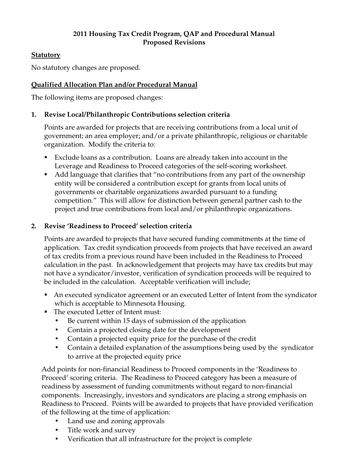### **2011 Housing Tax Credit Program, QAP and Procedural Manual Proposed Revisions**

## **Statutory**

No statutory changes are proposed.

# **Qualified Allocation Plan and/or Procedural Manual**

The following items are proposed changes:

## **1. Revise Local/Philanthropic Contributions selection criteria**

Points are awarded for projects that are receiving contributions from a local unit of government; an area employer; and/or a private philanthropic, religious or charitable organization. Modify the criteria to:

- Exclude loans as a contribution. Loans are already taken into account in the Leverage and Readiness to Proceed categories of the self-scoring worksheet.
- Add language that clarifies that "no contributions from any part of the ownership entity will be considered a contribution except for grants from local units of governments or charitable organizations awarded pursuant to a funding competition." This will allow for distinction between general partner cash to the project and true contributions from local and/or philanthropic organizations.

## **2. Revise 'Readiness to Proceed' selection criteria**

Points are awarded to projects that have secured funding commitments at the time of application. Tax credit syndication proceeds from projects that have received an award of tax credits from a previous round have been included in the Readiness to Proceed calculation in the past. In acknowledgement that projects may have tax credits but may not have a syndicator/investor, verification of syndication proceeds will be required to be included in the calculation. Acceptable verification will include;

- An executed syndicator agreement or an executed Letter of Intent from the syndicator which is acceptable to Minnesota Housing.
- The executed Letter of Intent must:
	- Be current within 15 days of submission of the application
	- Contain a projected closing date for the development
	- Contain a projected equity price for the purchase of the credit
	- Contain a detailed explanation of the assumptions being used by the syndicator to arrive at the projected equity price

Add points for non-financial Readiness to Proceed components in the 'Readiness to Proceed' scoring criteria. The Readiness to Proceed category has been a measure of readiness by assessment of funding commitments without regard to non-financial components. Increasingly, investors and syndicators are placing a strong emphasis on Readiness to Proceed. Points will be awarded to projects that have provided verification of the following at the time of application:

- Land use and zoning approvals
- Title work and survey
- Verification that all infrastructure for the project is complete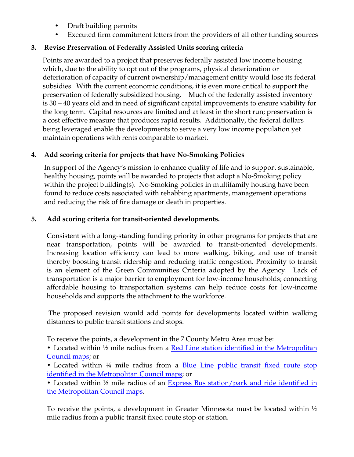- Draft building permits
- Executed firm commitment letters from the providers of all other funding sources

# **3. Revise Preservation of Federally Assisted Units scoring criteria**

Points are awarded to a project that preserves federally assisted low income housing which, due to the ability to opt out of the programs, physical deterioration or deterioration of capacity of current ownership/management entity would lose its federal subsidies. With the current economic conditions, it is even more critical to support the preservation of federally subsidized housing. Much of the federally assisted inventory is 30 – 40 years old and in need of significant capital improvements to ensure viability for the long term. Capital resources are limited and at least in the short run; preservation is a cost effective measure that produces rapid results. Additionally, the federal dollars being leveraged enable the developments to serve a very low income population yet maintain operations with rents comparable to market.

## **4. Add scoring criteria for projects that have No-Smoking Policies**

In support of the Agency's mission to enhance quality of life and to support sustainable, healthy housing, points will be awarded to projects that adopt a No-Smoking policy within the project building(s). No-Smoking policies in multifamily housing have been found to reduce costs associated with rehabbing apartments, management operations and reducing the risk of fire damage or death in properties.

## **5. Add scoring criteria for transit-oriented developments.**

Consistent with a long-standing funding priority in other programs for projects that are near transportation, points will be awarded to transit-oriented developments. Increasing location efficiency can lead to more walking, biking, and use of transit thereby boosting transit ridership and reducing traffic congestion. Proximity to transit is an element of the Green Communities Criteria adopted by the Agency. Lack of transportation is a major barrier to employment for low-income households; connecting affordable housing to transportation systems can help reduce costs for low-income households and supports the attachment to the workforce.

 The proposed revision would add points for developments located within walking distances to public transit stations and stops.

To receive the points, a development in the 7 County Metro Area must be:

• Located within 1/2 mile radius from a Red Line station identified in the Metropolitan [Council maps;](http://mnhousing.gov/housing/developers/allocation/MHFA_009135.aspx) or

• Located within 14 mile radius from a **Blue Line public transit fixed route stop** [identified in the Metropolitan Council maps;](http://mnhousing.gov/housing/developers/allocation/MHFA_009136.aspx) or

• Located within ½ mile radius of an [Express Bus station/park and ride identified in](http://mnhousing.gov/housing/developers/allocation/MHFA_009137.aspx)  [the Metropolitan Council maps.](http://mnhousing.gov/housing/developers/allocation/MHFA_009137.aspx)

To receive the points, a development in Greater Minnesota must be located within ½ mile radius from a public transit fixed route stop or station.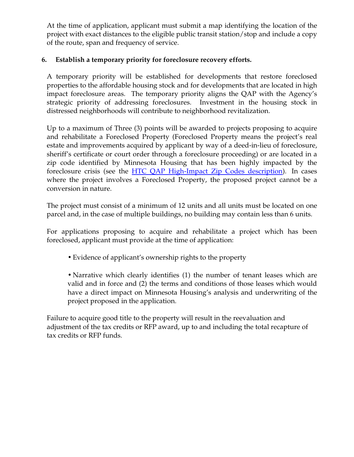At the time of application, applicant must submit a map identifying the location of the project with exact distances to the eligible public transit station/stop and include a copy of the route, span and frequency of service.

## **6. Establish a temporary priority for foreclosure recovery efforts.**

A temporary priority will be established for developments that restore foreclosed properties to the affordable housing stock and for developments that are located in high impact foreclosure areas. The temporary priority aligns the QAP with the Agency's strategic priority of addressing foreclosures. Investment in the housing stock in distressed neighborhoods will contribute to neighborhood revitalization.

Up to a maximum of Three (3) points will be awarded to projects proposing to acquire and rehabilitate a Foreclosed Property (Foreclosed Property means the project's real estate and improvements acquired by applicant by way of a deed-in-lieu of foreclosure, sheriff's certificate or court order through a foreclosure proceeding) or are located in a zip code identified by Minnesota Housing that has been highly impacted by the foreclosure crisis (see the [HTC QAP High-Impact Zip Codes description](http://mnhousing.gov/idc/groups/multifamily/documents/webcontent/mhfa_009138.pdf)). In cases where the project involves a Foreclosed Property, the proposed project cannot be a conversion in nature.

The project must consist of a minimum of 12 units and all units must be located on one parcel and, in the case of multiple buildings, no building may contain less than 6 units.

For applications proposing to acquire and rehabilitate a project which has been foreclosed, applicant must provide at the time of application:

• Evidence of applicant's ownership rights to the property

• Narrative which clearly identifies (1) the number of tenant leases which are valid and in force and (2) the terms and conditions of those leases which would have a direct impact on Minnesota Housing's analysis and underwriting of the project proposed in the application.

Failure to acquire good title to the property will result in the reevaluation and adjustment of the tax credits or RFP award, up to and including the total recapture of tax credits or RFP funds.